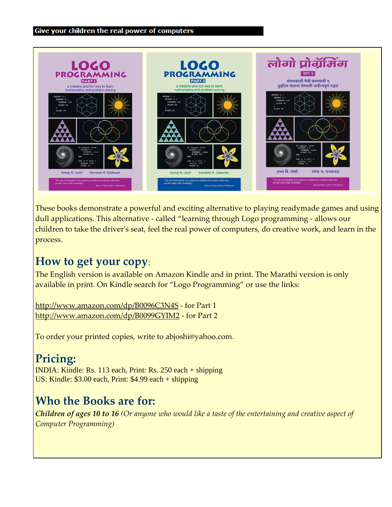

These books demonstrate a powerful and exciting alternative to playing readymade games and using dull applications. This alternative - called "learning through Logo programming - allows our children to take the driver's seat, feel the real power of computers, do creative work, and learn in the process.

### **How to get your copy**:

The English version is available on Amazon Kindle and in print. The Marathi version is only available in print. On Kindle search for "Logo Programming" or use the links:

<http://www.amazon.com/dp/B0096C3N4S> - for Part 1 <http://www.amazon.com/dp/B0099GYIM2> - for Part 2

To order your printed copies, write to abjoshi@yahoo.com.

### **Pricing:**

INDIA: Kindle: Rs. 113 each, Print: Rs. 250 each + shipping US: Kindle: \$3.00 each, Print: \$4.99 each + shipping

## **Who the Books are for:**

*Children of ages 10 to 16 (Or anyone who would like a taste of the entertaining and creative aspect of Computer Programming)*